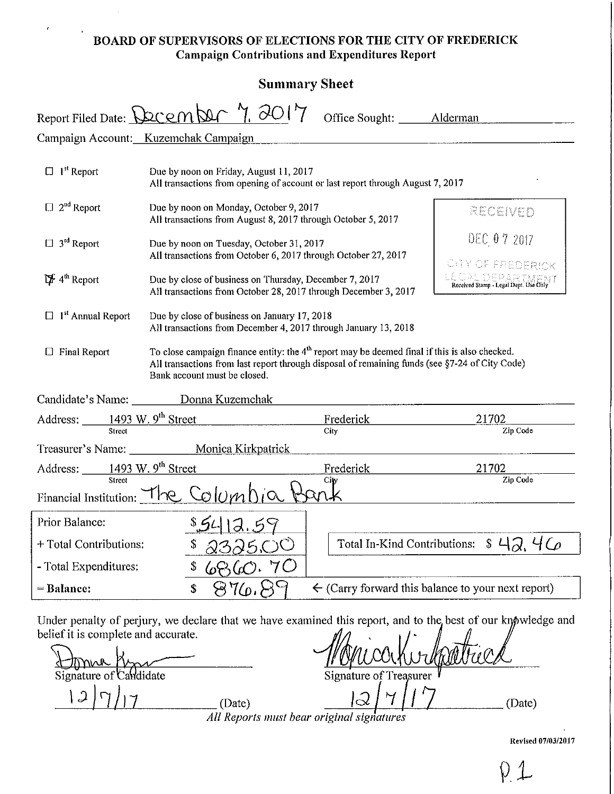# BOARD OF SUPERVISORS OF ELECTIONS FOR THE CITY OF FREDERICK Campaign Contributions and Expenditures Report

 $\overline{1}$ 

| <b>Summary Sheet</b>                                                                                                                                                                                                                                               |                                                                                                                                                                                                                                                                    |                                 |                                                               |  |  |
|--------------------------------------------------------------------------------------------------------------------------------------------------------------------------------------------------------------------------------------------------------------------|--------------------------------------------------------------------------------------------------------------------------------------------------------------------------------------------------------------------------------------------------------------------|---------------------------------|---------------------------------------------------------------|--|--|
|                                                                                                                                                                                                                                                                    | Report Filed Date: December 7. 2017                                                                                                                                                                                                                                | Office Sought: _______ Alderman |                                                               |  |  |
|                                                                                                                                                                                                                                                                    | Campaign Account: Kuzemchak Campaign                                                                                                                                                                                                                               |                                 |                                                               |  |  |
| $\Box$ 1 <sup>st</sup> Report<br>Due by noon on Friday, August 11, 2017<br>All transactions from opening of account or last report through August 7, 2017                                                                                                          |                                                                                                                                                                                                                                                                    |                                 |                                                               |  |  |
| $\Box$ 2 <sup>nd</sup> Report                                                                                                                                                                                                                                      | Due by noon on Monday, October 9, 2017<br>All transactions from August 8, 2017 through October 5, 2017                                                                                                                                                             |                                 | RECEIVED                                                      |  |  |
| $\Box$ 3 <sup>rd</sup> Report                                                                                                                                                                                                                                      | Due by noon on Tuesday, October 31, 2017<br>All transactions from October 6, 2017 through October 27, 2017<br>14 <sup>th</sup> Report<br>Due by close of business on Thursday, December 7, 2017<br>All transactions from October 28, 2017 through December 3, 2017 |                                 | DEC 07 2017                                                   |  |  |
|                                                                                                                                                                                                                                                                    |                                                                                                                                                                                                                                                                    |                                 | CITY OF FREDERICK                                             |  |  |
| $\Box$ 1 <sup>st</sup> Annual Report<br>Due by close of business on January 17, 2018<br>All transactions from December 4, 2017 through January 13, 2018                                                                                                            |                                                                                                                                                                                                                                                                    |                                 |                                                               |  |  |
| To close campaign finance entity: the 4 <sup>th</sup> report may be deemed final if this is also checked.<br>$\Box$ Final Report<br>All transactions from last report through disposal of remaining funds (see §7-24 of City Code)<br>Bank account must be closed. |                                                                                                                                                                                                                                                                    |                                 |                                                               |  |  |
|                                                                                                                                                                                                                                                                    | Candidate's Name: Donna Kuzemchak                                                                                                                                                                                                                                  |                                 |                                                               |  |  |
| Address: $\frac{1493 \text{ W. } 9^{\text{th}} \text{ Street}}{250 \text{ W. } 1493 \text{ W. } 9^{\text{th}} \text{ Street}}$                                                                                                                                     |                                                                                                                                                                                                                                                                    | Frederick                       | 21702                                                         |  |  |
| Street                                                                                                                                                                                                                                                             |                                                                                                                                                                                                                                                                    | City                            | Zip Code                                                      |  |  |
| Treasurer's Name: Monica Kirkpatrick                                                                                                                                                                                                                               |                                                                                                                                                                                                                                                                    |                                 |                                                               |  |  |
| Address: $\frac{1493 \text{ W. } 9^{\text{th}} \text{ Street}}{\text{Street}}$<br>21702<br>Frederick<br>Zip Code<br>City                                                                                                                                           |                                                                                                                                                                                                                                                                    |                                 |                                                               |  |  |
| Financial Institution: $The$ Colum                                                                                                                                                                                                                                 |                                                                                                                                                                                                                                                                    |                                 |                                                               |  |  |
| Prior Balance:                                                                                                                                                                                                                                                     | \$5413.59                                                                                                                                                                                                                                                          |                                 |                                                               |  |  |
| Total In-Kind Contributions:<br>+ Total Contributions:<br>\$<br>2325.OO                                                                                                                                                                                            |                                                                                                                                                                                                                                                                    |                                 | \$42.46                                                       |  |  |
| 6860.70<br>- Total Expenditures:<br>\$                                                                                                                                                                                                                             |                                                                                                                                                                                                                                                                    |                                 |                                                               |  |  |
| = Balance:                                                                                                                                                                                                                                                         | 876.89<br>\$                                                                                                                                                                                                                                                       |                                 | $\leftarrow$ (Carry forward this balance to your next report) |  |  |
|                                                                                                                                                                                                                                                                    |                                                                                                                                                                                                                                                                    |                                 |                                                               |  |  |

Under penalty of perjury, we declare that we have examined this report, and to the best of our knowledge and belief it is complete and accurate.

Signature of Candidate Signature of Treasurer  $\frac{|\mathcal{A}|}{|\mathcal{A}|}$  (Date)  $\frac{|\mathcal{A}|}{|\mathcal{A}|}$   $\frac{|\mathcal{A}|}{|\mathcal{A}|}$  (Date) *All Reports must bear original signatures* 

Revised 07/03/2017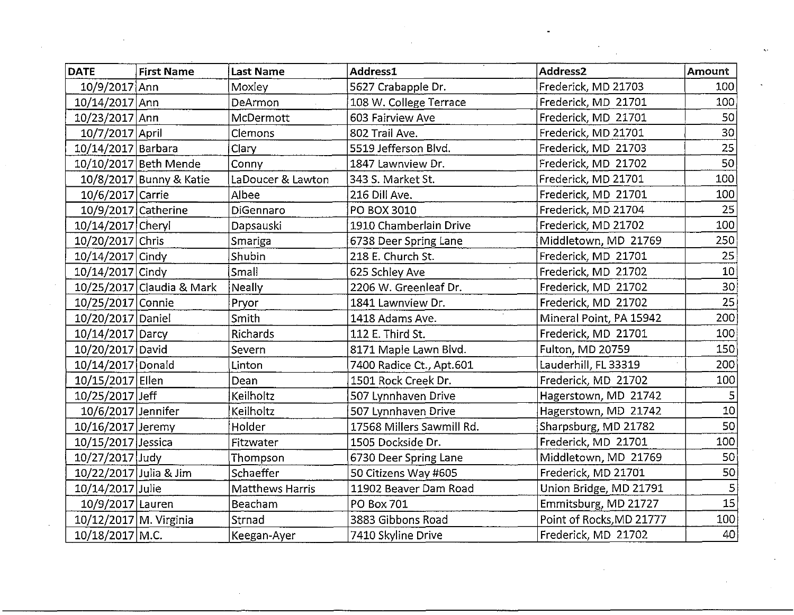| <b>DATE</b>            | <b>First Name</b>         | <b>Last Name</b>       | Address1                  | Address <sub>2</sub>     | Amount          |
|------------------------|---------------------------|------------------------|---------------------------|--------------------------|-----------------|
| 10/9/2017 Ann          |                           | Moxley                 | 5627 Crabapple Dr.        | Frederick, MD 21703      | 100             |
| 10/14/2017 Ann         |                           | DeArmon                | 108 W. College Terrace    | Frederick, MD 21701      | 100             |
| 10/23/2017 Ann         |                           | McDermott              | 603 Fairview Ave          | Frederick, MD 21701      | 50              |
| 10/7/2017 April        |                           | Clemons                | 802 Trail Ave.            | Frederick, MD 21701      | 30              |
| 10/14/2017 Barbara     |                           | Clary                  | 5519 Jefferson Blvd.      | Frederick, MD 21703      | 25              |
|                        | 10/10/2017 Beth Mende     | Conny                  | 1847 Lawnview Dr.         | Frederick, MD 21702      | 50              |
|                        | 10/8/2017 Bunny & Katie   | LaDoucer & Lawton      | 343 S. Market St.         | Frederick, MD 21701      | 100             |
| 10/6/2017 Carrie       |                           | Albee                  | 216 Dill Ave.             | Frederick, MD 21701      | 100             |
|                        | 10/9/2017 Catherine       | DiGennaro              | PO BOX 3010               | Frederick, MD 21704      | 25              |
| 10/14/2017 Cheryl      |                           | Dapsauski              | 1910 Chamberlain Drive    | Frederick, MD 21702      | 100             |
| 10/20/2017 Chris       |                           | Smariga                | 6738 Deer Spring Lane     | Middletown, MD 21769     | 250             |
| 10/14/2017 Cindy       |                           | Shubin                 | 218 E. Church St.         | Frederick, MD 21701      | 25              |
| 10/14/2017 Cindy       |                           | Small                  | 625 Schley Ave            | Frederick, MD 21702      | 10 <sup>1</sup> |
|                        | 10/25/2017 Claudia & Mark | Neally                 | 2206 W. Greenleaf Dr.     | Frederick, MD 21702      | 30              |
| 10/25/2017 Connie      |                           | Pryor                  | 1841 Lawnview Dr.         | Frederick, MD 21702      | 25              |
| 10/20/2017 Daniel      |                           | Smith                  | 1418 Adams Ave.           | Mineral Point, PA 15942  | $200^{\circ}$   |
| 10/14/2017 Darcy       |                           | Richards               | 112 E. Third St.          | Frederick, MD 21701      | 100             |
| 10/20/2017 David       |                           | Severn                 | 8171 Maple Lawn Blvd.     | Fulton, MD 20759         | 150             |
| 10/14/2017 Donald      |                           | Linton                 | 7400 Radice Ct., Apt.601  | Lauderhill, FL 33319     | 200             |
| 10/15/2017 Ellen       |                           | Dean                   | 1501 Rock Creek Dr.       | Frederick, MD 21702      | 100             |
| 10/25/2017 Jeff        |                           | Keilholtz              | 507 Lynnhaven Drive       | Hagerstown, MD 21742     |                 |
| 10/6/2017 Jennifer     |                           | Keilholtz              | 507 Lynnhaven Drive       | Hagerstown, MD 21742     | 10              |
| 10/16/2017 Jeremy      |                           | Holder                 | 17568 Millers Sawmill Rd. | Sharpsburg, MD 21782     | 50              |
| 10/15/2017 Jessica     |                           | Fitzwater              | 1505 Dockside Dr.         | Frederick, MD 21701      | 100             |
| 10/27/2017 Judy        |                           | Thompson               | 6730 Deer Spring Lane     | Middletown, MD 21769     | 50              |
| 10/22/2017 Julia & Jim |                           | Schaeffer              | 50 Citizens Way #605      | Frederick, MD 21701      | 50              |
| 10/14/2017 Julie       |                           | <b>Matthews Harris</b> | 11902 Beaver Dam Road     | Union Bridge, MD 21791   | 5               |
| 10/9/2017 Lauren       |                           | Beacham                | PO Box 701                | Emmitsburg, MD 21727     | 15              |
| 10/12/2017 M. Virginia |                           | Strnad                 | 3883 Gibbons Road         | Point of Rocks, MD 21777 | 100             |
| 10/18/2017 M.C.        |                           | Keegan-Ayer            | 7410 Skyline Drive        | Frederick, MD 21702      | 40              |

 $\langle \zeta_{\rm{S}} \rangle$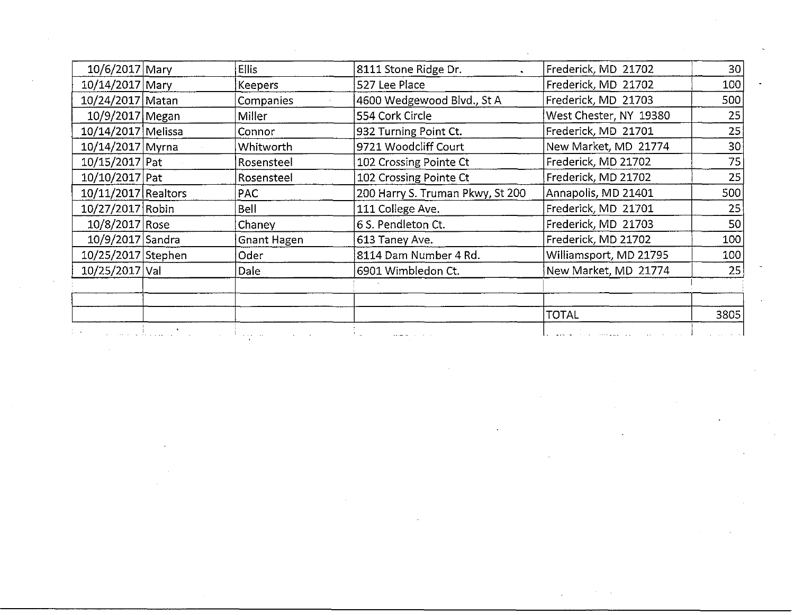| 10/6/2017 Mary<br>Ellis<br>8111 Stone Ridge Dr.<br>Frederick, MD 21702<br>10/14/2017 Mary<br>Frederick, MD 21702<br><b>Keepers</b><br>527 Lee Place<br>4600 Wedgewood Blvd., St A<br>10/24/2017 Matan<br>Frederick, MD 21703<br>Companies<br>10/9/2017 Megan<br>West Chester, NY 19380<br>Miller<br>554 Cork Circle<br>Frederick, MD 21701<br>10/14/2017 Melissa<br>932 Turning Point Ct.<br>Connor<br>10/14/2017 Myrna<br>9721 Woodcliff Court<br>New Market, MD 21774<br>Whitworth<br>$10/15/2017$ Pat<br>Frederick, MD 21702<br>Rosensteel<br>102 Crossing Pointe Ct<br>$10/10/2017$ Pat<br>Frederick, MD 21702<br>Rosensteel<br>102 Crossing Pointe Ct<br>$10/11/2017$ Realtors<br>200 Harry S. Truman Pkwy, St 200<br>Annapolis, MD 21401<br>PAC<br>111 College Ave.<br>10/27/2017 Robin<br>Bell<br>Frederick, MD 21701<br>10/8/2017 Rose<br>6 S. Pendleton Ct.<br>Frederick, MD 21703<br>Chaney<br>10/9/2017 Sandra<br>Frederick, MD 21702<br>613 Taney Ave.<br><b>Gnant Hagen</b><br>10/25/2017 Stephen<br>Oder<br>8114 Dam Number 4 Rd.<br>Williamsport, MD 21795<br>10/25/2017 Val<br>Dale<br>6901 Wimbledon Ct.<br>New Market, MD 21774<br><b>TOTAL</b><br>المنافس فالمستقلة والمستقلة |  |  | 30 <sup>2</sup> |
|--------------------------------------------------------------------------------------------------------------------------------------------------------------------------------------------------------------------------------------------------------------------------------------------------------------------------------------------------------------------------------------------------------------------------------------------------------------------------------------------------------------------------------------------------------------------------------------------------------------------------------------------------------------------------------------------------------------------------------------------------------------------------------------------------------------------------------------------------------------------------------------------------------------------------------------------------------------------------------------------------------------------------------------------------------------------------------------------------------------------------------------------------------------------------------------------------|--|--|-----------------|
|                                                                                                                                                                                                                                                                                                                                                                                                                                                                                                                                                                                                                                                                                                                                                                                                                                                                                                                                                                                                                                                                                                                                                                                                  |  |  |                 |
|                                                                                                                                                                                                                                                                                                                                                                                                                                                                                                                                                                                                                                                                                                                                                                                                                                                                                                                                                                                                                                                                                                                                                                                                  |  |  | 100             |
|                                                                                                                                                                                                                                                                                                                                                                                                                                                                                                                                                                                                                                                                                                                                                                                                                                                                                                                                                                                                                                                                                                                                                                                                  |  |  | 500             |
|                                                                                                                                                                                                                                                                                                                                                                                                                                                                                                                                                                                                                                                                                                                                                                                                                                                                                                                                                                                                                                                                                                                                                                                                  |  |  | 25              |
|                                                                                                                                                                                                                                                                                                                                                                                                                                                                                                                                                                                                                                                                                                                                                                                                                                                                                                                                                                                                                                                                                                                                                                                                  |  |  | 25              |
|                                                                                                                                                                                                                                                                                                                                                                                                                                                                                                                                                                                                                                                                                                                                                                                                                                                                                                                                                                                                                                                                                                                                                                                                  |  |  | 30 <sup>2</sup> |
|                                                                                                                                                                                                                                                                                                                                                                                                                                                                                                                                                                                                                                                                                                                                                                                                                                                                                                                                                                                                                                                                                                                                                                                                  |  |  | $\overline{75}$ |
|                                                                                                                                                                                                                                                                                                                                                                                                                                                                                                                                                                                                                                                                                                                                                                                                                                                                                                                                                                                                                                                                                                                                                                                                  |  |  | 25              |
|                                                                                                                                                                                                                                                                                                                                                                                                                                                                                                                                                                                                                                                                                                                                                                                                                                                                                                                                                                                                                                                                                                                                                                                                  |  |  | 500             |
|                                                                                                                                                                                                                                                                                                                                                                                                                                                                                                                                                                                                                                                                                                                                                                                                                                                                                                                                                                                                                                                                                                                                                                                                  |  |  | 25              |
|                                                                                                                                                                                                                                                                                                                                                                                                                                                                                                                                                                                                                                                                                                                                                                                                                                                                                                                                                                                                                                                                                                                                                                                                  |  |  | 50              |
|                                                                                                                                                                                                                                                                                                                                                                                                                                                                                                                                                                                                                                                                                                                                                                                                                                                                                                                                                                                                                                                                                                                                                                                                  |  |  | 100             |
|                                                                                                                                                                                                                                                                                                                                                                                                                                                                                                                                                                                                                                                                                                                                                                                                                                                                                                                                                                                                                                                                                                                                                                                                  |  |  | 100             |
|                                                                                                                                                                                                                                                                                                                                                                                                                                                                                                                                                                                                                                                                                                                                                                                                                                                                                                                                                                                                                                                                                                                                                                                                  |  |  | 25              |
|                                                                                                                                                                                                                                                                                                                                                                                                                                                                                                                                                                                                                                                                                                                                                                                                                                                                                                                                                                                                                                                                                                                                                                                                  |  |  |                 |
|                                                                                                                                                                                                                                                                                                                                                                                                                                                                                                                                                                                                                                                                                                                                                                                                                                                                                                                                                                                                                                                                                                                                                                                                  |  |  |                 |
|                                                                                                                                                                                                                                                                                                                                                                                                                                                                                                                                                                                                                                                                                                                                                                                                                                                                                                                                                                                                                                                                                                                                                                                                  |  |  |                 |
|                                                                                                                                                                                                                                                                                                                                                                                                                                                                                                                                                                                                                                                                                                                                                                                                                                                                                                                                                                                                                                                                                                                                                                                                  |  |  | 3805            |
|                                                                                                                                                                                                                                                                                                                                                                                                                                                                                                                                                                                                                                                                                                                                                                                                                                                                                                                                                                                                                                                                                                                                                                                                  |  |  |                 |
|                                                                                                                                                                                                                                                                                                                                                                                                                                                                                                                                                                                                                                                                                                                                                                                                                                                                                                                                                                                                                                                                                                                                                                                                  |  |  |                 |
|                                                                                                                                                                                                                                                                                                                                                                                                                                                                                                                                                                                                                                                                                                                                                                                                                                                                                                                                                                                                                                                                                                                                                                                                  |  |  |                 |
|                                                                                                                                                                                                                                                                                                                                                                                                                                                                                                                                                                                                                                                                                                                                                                                                                                                                                                                                                                                                                                                                                                                                                                                                  |  |  |                 |
|                                                                                                                                                                                                                                                                                                                                                                                                                                                                                                                                                                                                                                                                                                                                                                                                                                                                                                                                                                                                                                                                                                                                                                                                  |  |  |                 |
|                                                                                                                                                                                                                                                                                                                                                                                                                                                                                                                                                                                                                                                                                                                                                                                                                                                                                                                                                                                                                                                                                                                                                                                                  |  |  |                 |
|                                                                                                                                                                                                                                                                                                                                                                                                                                                                                                                                                                                                                                                                                                                                                                                                                                                                                                                                                                                                                                                                                                                                                                                                  |  |  |                 |
|                                                                                                                                                                                                                                                                                                                                                                                                                                                                                                                                                                                                                                                                                                                                                                                                                                                                                                                                                                                                                                                                                                                                                                                                  |  |  |                 |
|                                                                                                                                                                                                                                                                                                                                                                                                                                                                                                                                                                                                                                                                                                                                                                                                                                                                                                                                                                                                                                                                                                                                                                                                  |  |  |                 |
|                                                                                                                                                                                                                                                                                                                                                                                                                                                                                                                                                                                                                                                                                                                                                                                                                                                                                                                                                                                                                                                                                                                                                                                                  |  |  |                 |
|                                                                                                                                                                                                                                                                                                                                                                                                                                                                                                                                                                                                                                                                                                                                                                                                                                                                                                                                                                                                                                                                                                                                                                                                  |  |  |                 |
|                                                                                                                                                                                                                                                                                                                                                                                                                                                                                                                                                                                                                                                                                                                                                                                                                                                                                                                                                                                                                                                                                                                                                                                                  |  |  |                 |
|                                                                                                                                                                                                                                                                                                                                                                                                                                                                                                                                                                                                                                                                                                                                                                                                                                                                                                                                                                                                                                                                                                                                                                                                  |  |  |                 |
|                                                                                                                                                                                                                                                                                                                                                                                                                                                                                                                                                                                                                                                                                                                                                                                                                                                                                                                                                                                                                                                                                                                                                                                                  |  |  |                 |
|                                                                                                                                                                                                                                                                                                                                                                                                                                                                                                                                                                                                                                                                                                                                                                                                                                                                                                                                                                                                                                                                                                                                                                                                  |  |  |                 |
|                                                                                                                                                                                                                                                                                                                                                                                                                                                                                                                                                                                                                                                                                                                                                                                                                                                                                                                                                                                                                                                                                                                                                                                                  |  |  |                 |
|                                                                                                                                                                                                                                                                                                                                                                                                                                                                                                                                                                                                                                                                                                                                                                                                                                                                                                                                                                                                                                                                                                                                                                                                  |  |  |                 |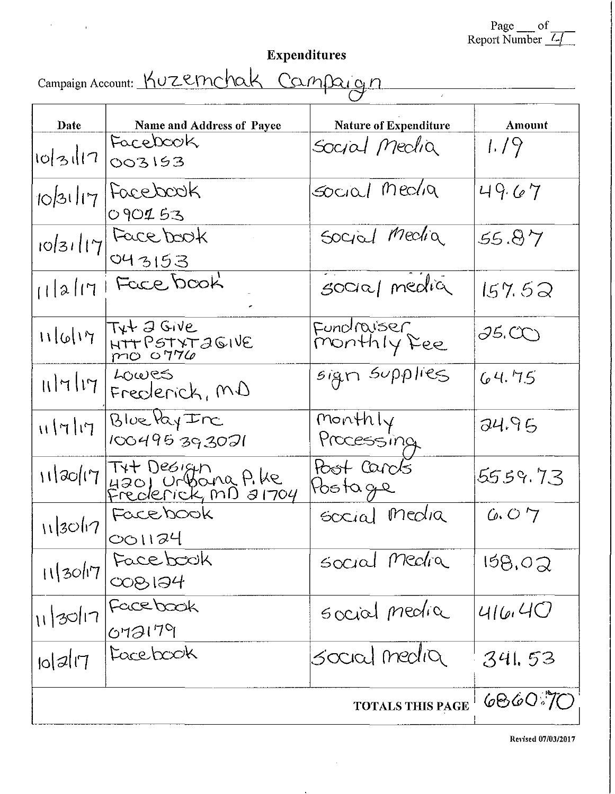Page  $_{\text{top}}$  of<br>Report Number

 $\overline{\phantom{a}}$ 

Expenditures<br>Campaign Account: KUZernchak Campaign

| Date                 | Name and Address of Payee                                      | <b>Nature of Expenditure</b> | Amount        |
|----------------------|----------------------------------------------------------------|------------------------------|---------------|
| 10 31 1              | FaceDook<br>003153                                             | Social Meclia                | 1.79          |
| 10/31/17             | Facebook<br>090153                                             | Social Media                 | 49.67         |
| 10 31 17             | Facebook<br>043153                                             | Social Media                 | 55.87         |
| 11217                | Face book                                                      | social media                 | 157.52        |
| 11 6 17              | $T_{\mathsf{Y}}\mathsf{L}$ $\mathsf{J}$ Give<br>HTT PSTYTAGIVE | Fundraiser<br>Monthly Fee    | <i>95.C</i> O |
| 11717                | Lowes<br>Frederick, MD                                         | sign supplies                | 64.75         |
| H H                  | Blue lay Inc<br>100495393021                                   | Monthly<br>Processing        | 24.95         |
| 11/20/17             | Tyt Design<br>4201 Urbona P.Ke<br>Frederick, MD 31704          | Host Carols<br>Postage       | 5559.73       |
| 113017               | Facebook<br>001124                                             | social media                 | 6.07          |
| 11/30/17             | Face book<br>008194                                            | social media                 | 158,02        |
| $\frac{1}{11}$ 30/17 | Facebook<br>072179                                             | social media                 | 416.40        |
| $ 0 $ 2 $ 7 $        | Facebook                                                       | social media                 | 341.53        |
|                      |                                                                | <b>TOTALS THIS PAGE</b>      | 6860.70       |

 $\sim$ 

Revised 07/03/2017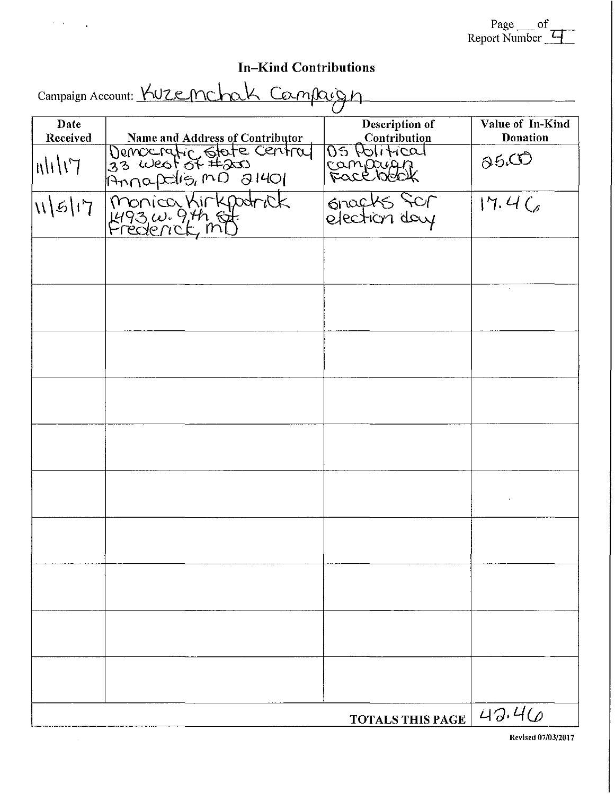| Page c<br>ΩŤ               |  |
|----------------------------|--|
| Report Number $\leftarrow$ |  |

# In-Kind Contributions

 $\alpha$  ,  $\alpha$ 

 $\overline{a}$ 

| Campaign Account: Kuzenchak Campaign |                                 |                                |                                     |  |  |  |
|--------------------------------------|---------------------------------|--------------------------------|-------------------------------------|--|--|--|
| Date<br>Received                     | Name and Address of Contributor | Description of<br>Contribution | Value of In-Kind<br><b>Donation</b> |  |  |  |
| $T/$ / $  n  $                       | Democratic State Central        | OS POTITICAT<br>Campuigh       | 06C                                 |  |  |  |
| 115 17                               | monica Kirkpatrick              | Gracks Scr<br>election day     | 17.4C                               |  |  |  |
|                                      |                                 |                                |                                     |  |  |  |
|                                      |                                 |                                |                                     |  |  |  |
|                                      |                                 |                                |                                     |  |  |  |
|                                      |                                 |                                |                                     |  |  |  |
|                                      |                                 |                                |                                     |  |  |  |
|                                      |                                 |                                |                                     |  |  |  |
|                                      |                                 |                                |                                     |  |  |  |
|                                      |                                 |                                |                                     |  |  |  |
|                                      |                                 |                                |                                     |  |  |  |
|                                      |                                 |                                |                                     |  |  |  |
|                                      |                                 | <b>TOTALS THIS PAGE</b>        | 43.46                               |  |  |  |

Revised 07/03/2017